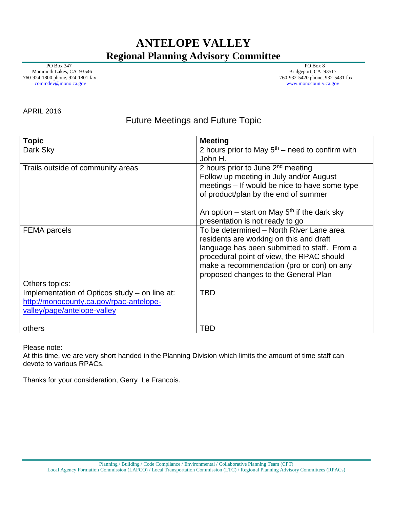## **ANTELOPE VALLEY Regional Planning Advisory Committee**

 PO Box 347 Mammoth Lakes, CA 93546 760-924-1800 phone, 924-1801 fax [commdev@mono.ca.gov](mailto:commdev@mono.ca.gov)

PO Box 8 Bridgeport, CA 93517 760-932-5420 phone, 932-5431 fax www.monocounty.ca.gov

APRIL 2016

## Future Meetings and Future Topic

| <b>Topic</b>                                  | <b>Meeting</b>                                    |
|-----------------------------------------------|---------------------------------------------------|
| Dark Sky                                      | 2 hours prior to May $5th$ – need to confirm with |
|                                               | John H.                                           |
| Trails outside of community areas             | 2 hours prior to June 2 <sup>nd</sup> meeting     |
|                                               | Follow up meeting in July and/or August           |
|                                               | meetings – If would be nice to have some type     |
|                                               | of product/plan by the end of summer              |
|                                               | An option – start on May $5th$ if the dark sky    |
|                                               | presentation is not ready to go                   |
| <b>FEMA</b> parcels                           | To be determined - North River Lane area          |
|                                               | residents are working on this and draft           |
|                                               | language has been submitted to staff. From a      |
|                                               | procedural point of view, the RPAC should         |
|                                               | make a recommendation (pro or con) on any         |
|                                               | proposed changes to the General Plan              |
| Others topics:                                |                                                   |
| Implementation of Opticos study – on line at: | <b>TBD</b>                                        |
| http://monocounty.ca.gov/rpac-antelope-       |                                                   |
| valley/page/antelope-valley                   |                                                   |
|                                               |                                                   |
| others                                        | <b>TBD</b>                                        |

Please note:

At this time, we are very short handed in the Planning Division which limits the amount of time staff can devote to various RPACs.

Thanks for your consideration, Gerry Le Francois.